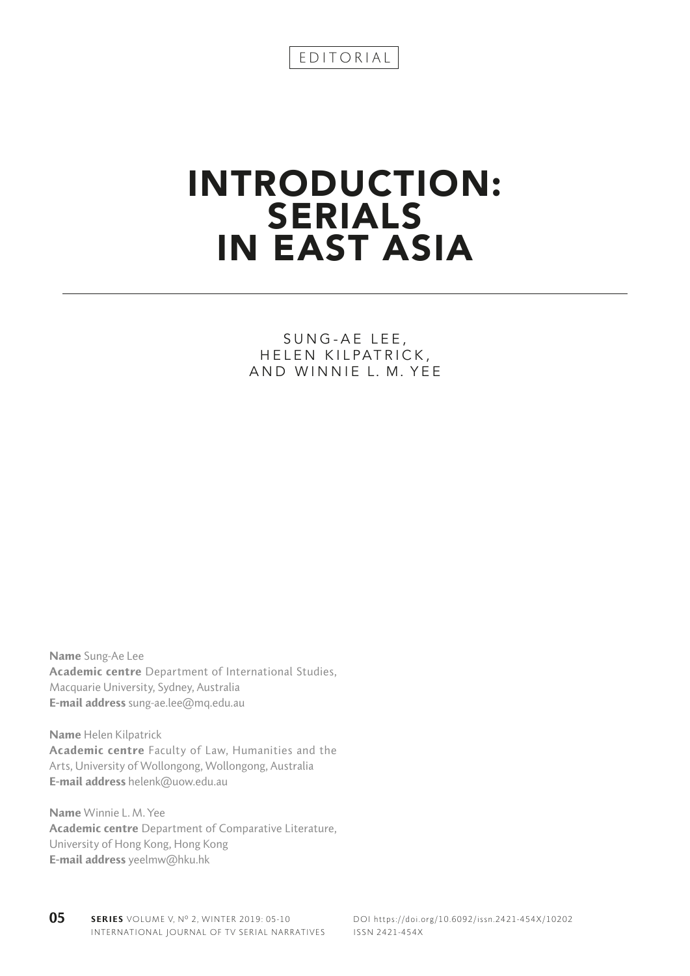## INTRODUCTION: SERIALS IN EAST ASIA

## SUNG-AE LEE, HELEN KILPATRICK, AND WINNIE L. M. YEE

Name Sung-Ae Lee Academic centre Department of International Studies, Macquarie University, Sydney, Australia E-mail address sung-ae.lee@mq.edu.au

Name Helen Kilpatrick Academic centre Faculty of Law, Humanities and the Arts, University of Wollongong, Wollongong, Australia E-mail address helenk@uow.edu.au

Name Winnie L. M.Yee Academic centre Department of Comparative Literature, University of Hong Kong, Hong Kong E-mail address yeelmw@hku.hk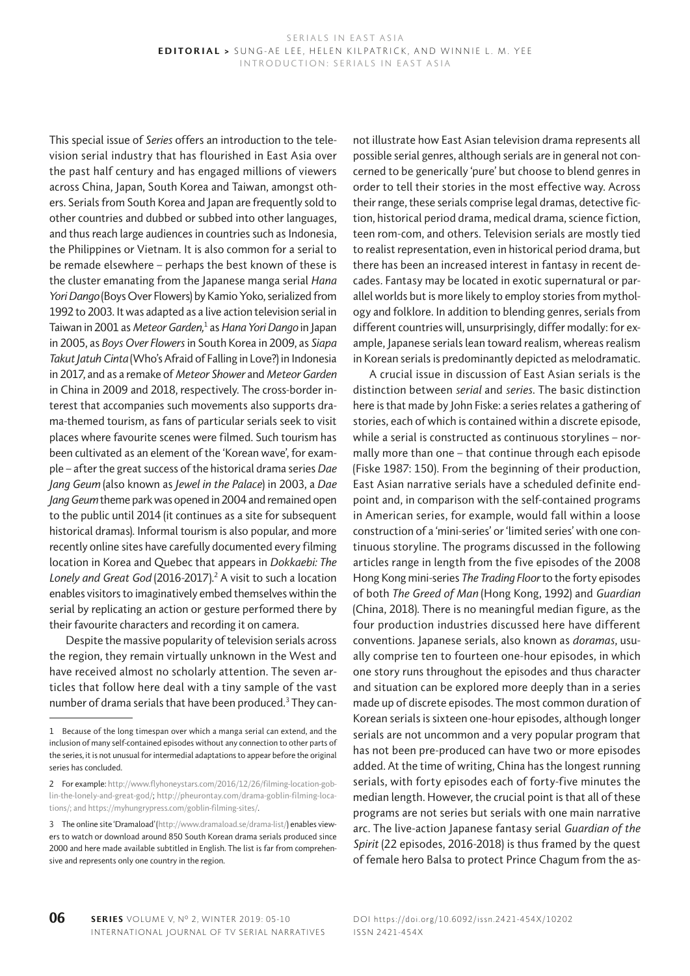This special issue of *Series* offers an introduction to the television serial industry that has flourished in East Asia over the past half century and has engaged millions of viewers across China, Japan, South Korea and Taiwan, amongst others. Serials from South Korea and Japan are frequently sold to other countries and dubbed or subbed into other languages, and thus reach large audiences in countries such as Indonesia, the Philippines or Vietnam. It is also common for a serial to be remade elsewhere – perhaps the best known of these is the cluster emanating from the Japanese manga serial *Hana Yori Dango* (Boys Over Flowers) by Kamio Yoko, serialized from 1992 to 2003. It was adapted as a live action television serial in Taiwan in 2001 as *Meteor Garden,*<sup>1</sup> as *Hana Yori Dango* in Japan in 2005, as *Boys Over Flowers* in South Korea in 2009, as *Siapa Takut Jatuh Cinta* (Who's Afraid of Falling in Love?) in Indonesia in 2017, and as a remake of *Meteor Shower* and *Meteor Garden* in China in 2009 and 2018, respectively. The cross-border interest that accompanies such movements also supports drama-themed tourism, as fans of particular serials seek to visit places where favourite scenes were filmed. Such tourism has been cultivated as an element of the 'Korean wave', for example – after the great success of the historical drama series *Dae Jang Geum* (also known as *Jewel in the Palace*) in 2003, a *Dae Jang Geum* theme park was opened in 2004 and remained open to the public until 2014 (it continues as a site for subsequent historical dramas). Informal tourism is also popular, and more recently online sites have carefully documented every filming location in Korea and Quebec that appears in *Dokkaebi: The*  Lonely and Great God (2016-2017).<sup>2</sup> A visit to such a location enables visitors to imaginatively embed themselves within the serial by replicating an action or gesture performed there by their favourite characters and recording it on camera.

Despite the massive popularity of television serials across the region, they remain virtually unknown in the West and have received almost no scholarly attention. The seven articles that follow here deal with a tiny sample of the vast number of drama serials that have been produced. $^3$  They can-

not illustrate how East Asian television drama represents all possible serial genres, although serials are in general not concerned to be generically 'pure' but choose to blend genres in order to tell their stories in the most effective way. Across their range, these serials comprise legal dramas, detective fiction, historical period drama, medical drama, science fiction, teen rom-com, and others. Television serials are mostly tied to realist representation, even in historical period drama, but there has been an increased interest in fantasy in recent decades. Fantasy may be located in exotic supernatural or parallel worlds but is more likely to employ stories from mythology and folklore. In addition to blending genres, serials from different countries will, unsurprisingly, differ modally: for example, Japanese serials lean toward realism, whereas realism in Korean serials is predominantly depicted as melodramatic.

A crucial issue in discussion of East Asian serials is the distinction between *serial* and *series*. The basic distinction here is that made by John Fiske: a series relates a gathering of stories, each of which is contained within a discrete episode, while a serial is constructed as continuous storylines – normally more than one – that continue through each episode (Fiske 1987: 150). From the beginning of their production, East Asian narrative serials have a scheduled definite endpoint and, in comparison with the self-contained programs in American series, for example, would fall within a loose construction of a 'mini-series' or 'limited series' with one continuous storyline. The programs discussed in the following articles range in length from the five episodes of the 2008 Hong Kong mini-series *The Trading Floor* to the forty episodes of both *The Greed of Man* (Hong Kong, 1992) and *Guardian* (China, 2018). There is no meaningful median figure, as the four production industries discussed here have different conventions. Japanese serials, also known as *doramas*, usually comprise ten to fourteen one-hour episodes, in which one story runs throughout the episodes and thus character and situation can be explored more deeply than in a series made up of discrete episodes. The most common duration of Korean serials is sixteen one-hour episodes, although longer serials are not uncommon and a very popular program that has not been pre-produced can have two or more episodes added. At the time of writing, China has the longest running serials, with forty episodes each of forty-five minutes the median length. However, the crucial point is that all of these programs are not series but serials with one main narrative arc. The live-action Japanese fantasy serial *Guardian of the Spirit* (22 episodes, 2016-2018) is thus framed by the quest of female hero Balsa to protect Prince Chagum from the as-

<sup>1</sup> Because of the long timespan over which a manga serial can extend, and the inclusion of many self-contained episodes without any connection to other parts of the series, it is not unusual for intermedial adaptations to appear before the original series has concluded.

<sup>2</sup> For example: http://www.flyhoneystars.com/2016/12/26/filming-location-goblin-the-lonely-and-great-god/; http://pheurontay.com/drama-goblin-filming-locations/; and https://myhungrypress.com/goblin-filming-sites/.

<sup>3</sup> The online site 'Dramaload' (http://www.dramaload.se/drama-list/) enables viewers to watch or download around 850 South Korean drama serials produced since 2000 and here made available subtitled in English. The list is far from comprehensive and represents only one country in the region.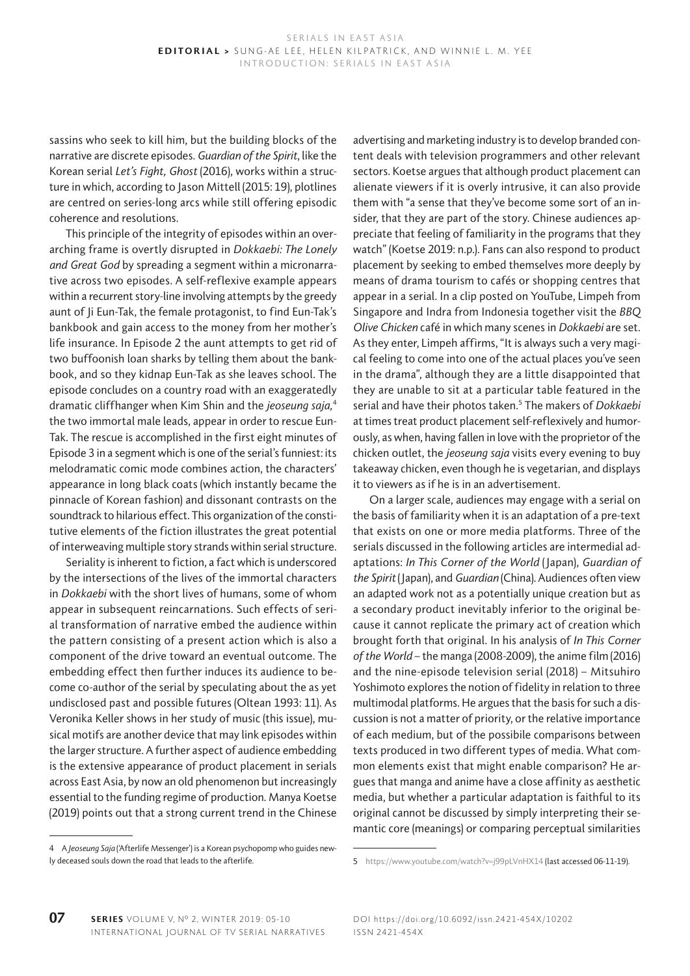sassins who seek to kill him, but the building blocks of the narrative are discrete episodes. *Guardian of the Spirit*, like the Korean serial *Let's Fight, Ghost* (2016), works within a structure in which, according to Jason Mittell (2015: 19), plotlines are centred on series-long arcs while still offering episodic coherence and resolutions.

This principle of the integrity of episodes within an overarching frame is overtly disrupted in *Dokkaebi: The Lonely and Great God* by spreading a segment within a micronarrative across two episodes. A self-reflexive example appears within a recurrent story-line involving attempts by the greedy aunt of Ji Eun-Tak, the female protagonist, to find Eun-Tak's bankbook and gain access to the money from her mother's life insurance. In Episode 2 the aunt attempts to get rid of two buffoonish loan sharks by telling them about the bankbook, and so they kidnap Eun-Tak as she leaves school. The episode concludes on a country road with an exaggeratedly dramatic cliffhanger when Kim Shin and the *jeoseung saja,*<sup>4</sup> the two immortal male leads, appear in order to rescue Eun-Tak. The rescue is accomplished in the first eight minutes of Episode 3 in a segment which is one of the serial's funniest: its melodramatic comic mode combines action, the characters' appearance in long black coats (which instantly became the pinnacle of Korean fashion) and dissonant contrasts on the soundtrack to hilarious effect. This organization of the constitutive elements of the fiction illustrates the great potential of interweaving multiple story strands within serial structure.

Seriality is inherent to fiction, a fact which is underscored by the intersections of the lives of the immortal characters in *Dokkaebi* with the short lives of humans, some of whom appear in subsequent reincarnations. Such effects of serial transformation of narrative embed the audience within the pattern consisting of a present action which is also a component of the drive toward an eventual outcome. The embedding effect then further induces its audience to become co-author of the serial by speculating about the as yet undisclosed past and possible futures (Oltean 1993: 11). As Veronika Keller shows in her study of music (this issue), musical motifs are another device that may link episodes within the larger structure. A further aspect of audience embedding is the extensive appearance of product placement in serials across East Asia, by now an old phenomenon but increasingly essential to the funding regime of production. Manya Koetse (2019) points out that a strong current trend in the Chinese

advertising and marketing industry is to develop branded content deals with television programmers and other relevant sectors. Koetse argues that although product placement can alienate viewers if it is overly intrusive, it can also provide them with "a sense that they've become some sort of an insider, that they are part of the story. Chinese audiences appreciate that feeling of familiarity in the programs that they watch" (Koetse 2019: n.p.). Fans can also respond to product placement by seeking to embed themselves more deeply by means of drama tourism to cafés or shopping centres that appear in a serial. In a clip posted on YouTube, Limpeh from Singapore and Indra from Indonesia together visit the *BBQ Olive Chicken* café in which many scenes in *Dokkaebi* are set. As they enter, Limpeh affirms, "It is always such a very magical feeling to come into one of the actual places you've seen in the drama", although they are a little disappointed that they are unable to sit at a particular table featured in the serial and have their photos taken.<sup>5</sup> The makers of *Dokkaebi* at times treat product placement self-reflexively and humorously, as when, having fallen in love with the proprietor of the chicken outlet, the *jeoseung saja* visits every evening to buy takeaway chicken, even though he is vegetarian, and displays it to viewers as if he is in an advertisement.

On a larger scale, audiences may engage with a serial on the basis of familiarity when it is an adaptation of a pre-text that exists on one or more media platforms. Three of the serials discussed in the following articles are intermedial adaptations: *In This Corner of the World* (Japan), *Guardian of the Spirit* (Japan), and *Guardian* (China). Audiences often view an adapted work not as a potentially unique creation but as a secondary product inevitably inferior to the original because it cannot replicate the primary act of creation which brought forth that original. In his analysis of *In This Corner of the World* – the manga (2008-2009), the anime film (2016) and the nine-episode television serial (2018) – Mitsuhiro Yoshimoto explores the notion of fidelity in relation to three multimodal platforms. He argues that the basis for such a discussion is not a matter of priority, or the relative importance of each medium, but of the possibile comparisons between texts produced in two different types of media. What common elements exist that might enable comparison? He argues that manga and anime have a close affinity as aesthetic media, but whether a particular adaptation is faithful to its original cannot be discussed by simply interpreting their semantic core (meanings) or comparing perceptual similarities

<sup>4</sup> A *Jeoseung Saja* ('Afterlife Messenger') is a Korean psychopomp who guides newly deceased souls down the road that leads to the afterlife.

<sup>5</sup> https://www.youtube.com/watch?v=j99pLVnHX14 (last accessed 06-11-19).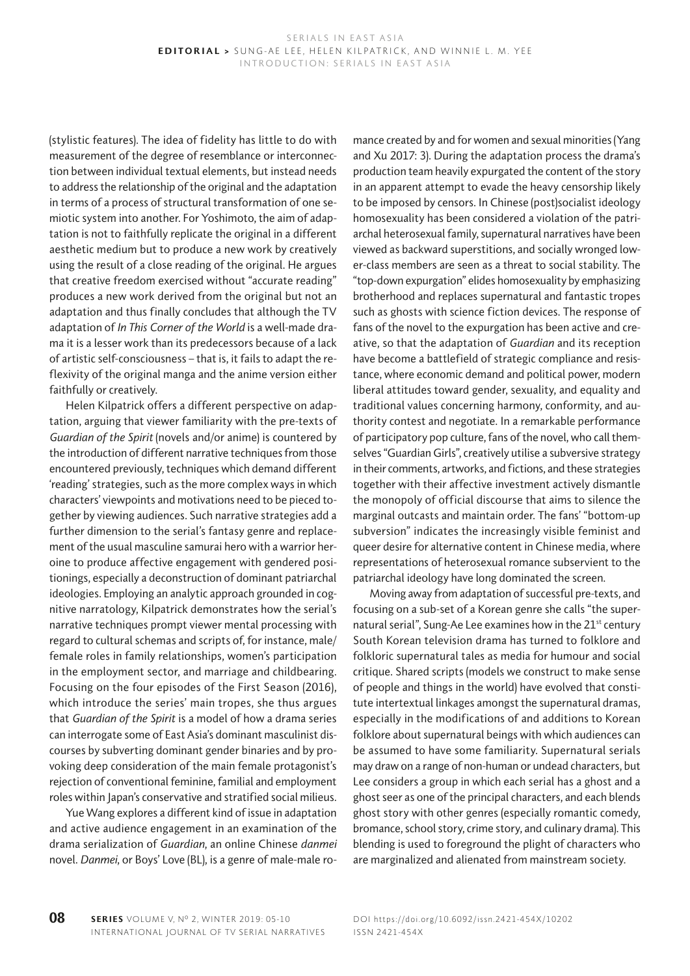(stylistic features). The idea of fidelity has little to do with measurement of the degree of resemblance or interconnection between individual textual elements, but instead needs to address the relationship of the original and the adaptation in terms of a process of structural transformation of one semiotic system into another. For Yoshimoto, the aim of adaptation is not to faithfully replicate the original in a different aesthetic medium but to produce a new work by creatively using the result of a close reading of the original. He argues that creative freedom exercised without "accurate reading" produces a new work derived from the original but not an adaptation and thus finally concludes that although the TV adaptation of *In This Corner of the World* is a well-made drama it is a lesser work than its predecessors because of a lack of artistic self-consciousness – that is, it fails to adapt the reflexivity of the original manga and the anime version either faithfully or creatively.

Helen Kilpatrick offers a different perspective on adaptation, arguing that viewer familiarity with the pre-texts of *Guardian of the Spirit* (novels and/or anime) is countered by the introduction of different narrative techniques from those encountered previously, techniques which demand different 'reading' strategies, such as the more complex ways in which characters' viewpoints and motivations need to be pieced together by viewing audiences. Such narrative strategies add a further dimension to the serial's fantasy genre and replacement of the usual masculine samurai hero with a warrior heroine to produce affective engagement with gendered positionings, especially a deconstruction of dominant patriarchal ideologies. Employing an analytic approach grounded in cognitive narratology, Kilpatrick demonstrates how the serial's narrative techniques prompt viewer mental processing with regard to cultural schemas and scripts of, for instance, male/ female roles in family relationships, women's participation in the employment sector, and marriage and childbearing. Focusing on the four episodes of the First Season (2016), which introduce the series' main tropes, she thus argues that *Guardian of the Spirit* is a model of how a drama series can interrogate some of East Asia's dominant masculinist discourses by subverting dominant gender binaries and by provoking deep consideration of the main female protagonist's rejection of conventional feminine, familial and employment roles within Japan's conservative and stratified social milieus.

Yue Wang explores a different kind of issue in adaptation and active audience engagement in an examination of the drama serialization of *Guardian*, an online Chinese *danmei*  novel. *Danmei*, or Boys' Love (BL), is a genre of male-male ro-

mance created by and for women and sexual minorities (Yang and Xu 2017: 3). During the adaptation process the drama's production team heavily expurgated the content of the story in an apparent attempt to evade the heavy censorship likely to be imposed by censors. In Chinese (post)socialist ideology homosexuality has been considered a violation of the patriarchal heterosexual family, supernatural narratives have been viewed as backward superstitions, and socially wronged lower-class members are seen as a threat to social stability. The "top-down expurgation" elides homosexuality by emphasizing brotherhood and replaces supernatural and fantastic tropes such as ghosts with science fiction devices. The response of fans of the novel to the expurgation has been active and creative, so that the adaptation of *Guardian* and its reception have become a battlefield of strategic compliance and resistance, where economic demand and political power, modern liberal attitudes toward gender, sexuality, and equality and traditional values concerning harmony, conformity, and authority contest and negotiate. In a remarkable performance of participatory pop culture, fans of the novel, who call themselves "Guardian Girls", creatively utilise a subversive strategy in their comments, artworks, and fictions, and these strategies together with their affective investment actively dismantle the monopoly of official discourse that aims to silence the marginal outcasts and maintain order. The fans' "bottom-up subversion" indicates the increasingly visible feminist and queer desire for alternative content in Chinese media, where representations of heterosexual romance subservient to the patriarchal ideology have long dominated the screen.

Moving away from adaptation of successful pre-texts, and focusing on a sub-set of a Korean genre she calls "the supernatural serial", Sung-Ae Lee examines how in the 21<sup>st</sup> century South Korean television drama has turned to folklore and folkloric supernatural tales as media for humour and social critique. Shared scripts (models we construct to make sense of people and things in the world) have evolved that constitute intertextual linkages amongst the supernatural dramas, especially in the modifications of and additions to Korean folklore about supernatural beings with which audiences can be assumed to have some familiarity. Supernatural serials may draw on a range of non-human or undead characters, but Lee considers a group in which each serial has a ghost and a ghost seer as one of the principal characters, and each blends ghost story with other genres (especially romantic comedy, bromance, school story, crime story, and culinary drama). This blending is used to foreground the plight of characters who are marginalized and alienated from mainstream society.

DOI https://doi.org/10.6092/issn.2421-454X/10202 ISSN 2421-454X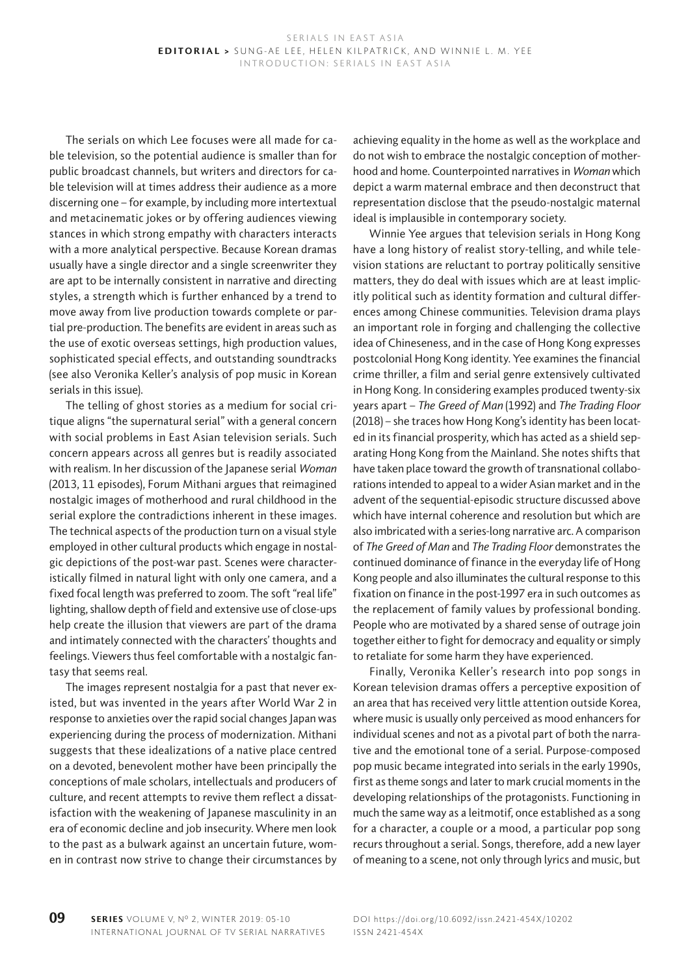The serials on which Lee focuses were all made for cable television, so the potential audience is smaller than for public broadcast channels, but writers and directors for cable television will at times address their audience as a more discerning one – for example, by including more intertextual and metacinematic jokes or by offering audiences viewing stances in which strong empathy with characters interacts with a more analytical perspective. Because Korean dramas usually have a single director and a single screenwriter they are apt to be internally consistent in narrative and directing styles, a strength which is further enhanced by a trend to move away from live production towards complete or partial pre-production. The benefits are evident in areas such as the use of exotic overseas settings, high production values, sophisticated special effects, and outstanding soundtracks (see also Veronika Keller's analysis of pop music in Korean serials in this issue).

The telling of ghost stories as a medium for social critique aligns "the supernatural serial" with a general concern with social problems in East Asian television serials. Such concern appears across all genres but is readily associated with realism. In her discussion of the Japanese serial *Woman* (2013, 11 episodes), Forum Mithani argues that reimagined nostalgic images of motherhood and rural childhood in the serial explore the contradictions inherent in these images. The technical aspects of the production turn on a visual style employed in other cultural products which engage in nostalgic depictions of the post-war past. Scenes were characteristically filmed in natural light with only one camera, and a fixed focal length was preferred to zoom. The soft "real life" lighting, shallow depth of field and extensive use of close-ups help create the illusion that viewers are part of the drama and intimately connected with the characters' thoughts and feelings. Viewers thus feel comfortable with a nostalgic fantasy that seems real.

The images represent nostalgia for a past that never existed, but was invented in the years after World War 2 in response to anxieties over the rapid social changes Japan was experiencing during the process of modernization. Mithani suggests that these idealizations of a native place centred on a devoted, benevolent mother have been principally the conceptions of male scholars, intellectuals and producers of culture, and recent attempts to revive them reflect a dissatisfaction with the weakening of Japanese masculinity in an era of economic decline and job insecurity. Where men look to the past as a bulwark against an uncertain future, women in contrast now strive to change their circumstances by

achieving equality in the home as well as the workplace and do not wish to embrace the nostalgic conception of motherhood and home. Counterpointed narratives in *Woman* which depict a warm maternal embrace and then deconstruct that representation disclose that the pseudo-nostalgic maternal ideal is implausible in contemporary society.

Winnie Yee argues that television serials in Hong Kong have a long history of realist story-telling, and while television stations are reluctant to portray politically sensitive matters, they do deal with issues which are at least implicitly political such as identity formation and cultural differences among Chinese communities. Television drama plays an important role in forging and challenging the collective idea of Chineseness, and in the case of Hong Kong expresses postcolonial Hong Kong identity. Yee examines the financial crime thriller, a film and serial genre extensively cultivated in Hong Kong. In considering examples produced twenty-six years apart – *The Greed of Man* (1992) and *The Trading Floor*  (2018) – she traces how Hong Kong's identity has been located in its financial prosperity, which has acted as a shield separating Hong Kong from the Mainland. She notes shifts that have taken place toward the growth of transnational collaborations intended to appeal to a wider Asian market and in the advent of the sequential-episodic structure discussed above which have internal coherence and resolution but which are also imbricated with a series-long narrative arc. A comparison of *The Greed of Man* and *The Trading Floor* demonstrates the continued dominance of finance in the everyday life of Hong Kong people and also illuminates the cultural response to this fixation on finance in the post-1997 era in such outcomes as the replacement of family values by professional bonding. People who are motivated by a shared sense of outrage join together either to fight for democracy and equality or simply to retaliate for some harm they have experienced.

Finally, Veronika Keller's research into pop songs in Korean television dramas offers a perceptive exposition of an area that has received very little attention outside Korea, where music is usually only perceived as mood enhancers for individual scenes and not as a pivotal part of both the narrative and the emotional tone of a serial. Purpose-composed pop music became integrated into serials in the early 1990s, first as theme songs and later to mark crucial moments in the developing relationships of the protagonists. Functioning in much the same way as a leitmotif, once established as a song for a character, a couple or a mood, a particular pop song recurs throughout a serial. Songs, therefore, add a new layer of meaning to a scene, not only through lyrics and music, but